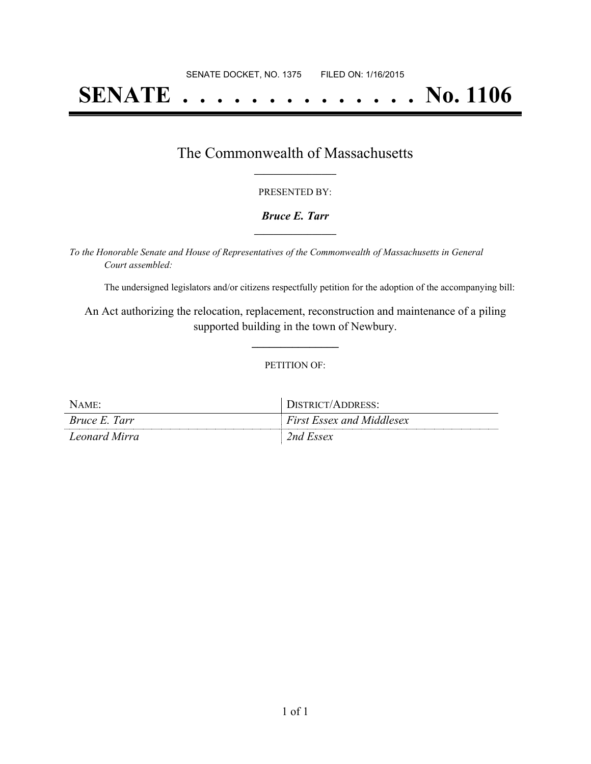# **SENATE . . . . . . . . . . . . . . No. 1106**

## The Commonwealth of Massachusetts **\_\_\_\_\_\_\_\_\_\_\_\_\_\_\_\_\_**

#### PRESENTED BY:

#### *Bruce E. Tarr* **\_\_\_\_\_\_\_\_\_\_\_\_\_\_\_\_\_**

*To the Honorable Senate and House of Representatives of the Commonwealth of Massachusetts in General Court assembled:*

The undersigned legislators and/or citizens respectfully petition for the adoption of the accompanying bill:

An Act authorizing the relocation, replacement, reconstruction and maintenance of a piling supported building in the town of Newbury.

**\_\_\_\_\_\_\_\_\_\_\_\_\_\_\_**

#### PETITION OF:

| $N$ AME:      | DISTRICT/ADDRESS:                |
|---------------|----------------------------------|
| Bruce E. Tarr | <b>First Essex and Middlesex</b> |
| Leonard Mirra | 2nd Essex                        |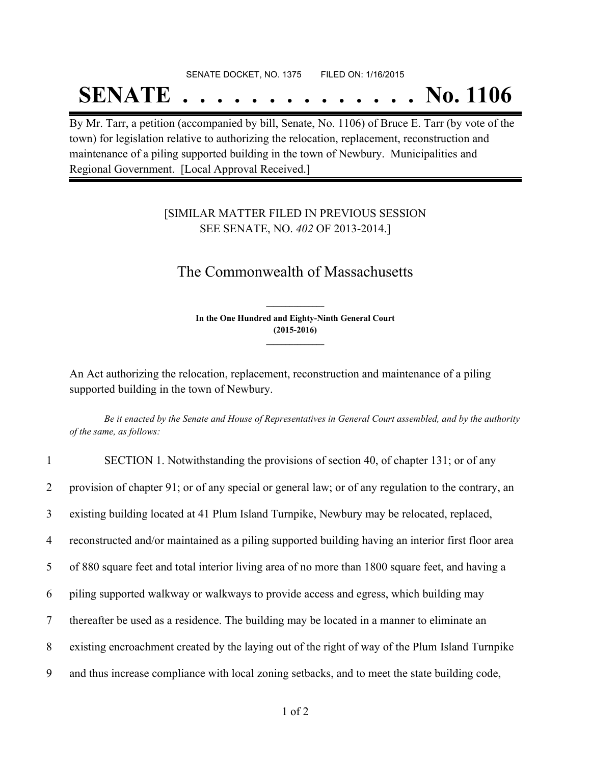# SENATE DOCKET, NO. 1375 FILED ON: 1/16/2015 **SENATE . . . . . . . . . . . . . . No. 1106**

By Mr. Tarr, a petition (accompanied by bill, Senate, No. 1106) of Bruce E. Tarr (by vote of the town) for legislation relative to authorizing the relocation, replacement, reconstruction and maintenance of a piling supported building in the town of Newbury. Municipalities and Regional Government. [Local Approval Received.]

### [SIMILAR MATTER FILED IN PREVIOUS SESSION SEE SENATE, NO. *402* OF 2013-2014.]

## The Commonwealth of Massachusetts

**In the One Hundred and Eighty-Ninth General Court (2015-2016) \_\_\_\_\_\_\_\_\_\_\_\_\_\_\_**

**\_\_\_\_\_\_\_\_\_\_\_\_\_\_\_**

An Act authorizing the relocation, replacement, reconstruction and maintenance of a piling supported building in the town of Newbury.

Be it enacted by the Senate and House of Representatives in General Court assembled, and by the authority *of the same, as follows:*

| $\mathbf{1}$    | SECTION 1. Notwithstanding the provisions of section 40, of chapter 131; or of any                  |
|-----------------|-----------------------------------------------------------------------------------------------------|
| $\overline{2}$  | provision of chapter 91; or of any special or general law; or of any regulation to the contrary, an |
| $\overline{3}$  | existing building located at 41 Plum Island Turnpike, Newbury may be relocated, replaced,           |
| $\overline{4}$  | reconstructed and/or maintained as a piling supported building having an interior first floor area  |
| 5 <sup>5</sup>  | of 880 square feet and total interior living area of no more than 1800 square feet, and having a    |
| 6               | piling supported walkway or walkways to provide access and egress, which building may               |
| $7\overline{ }$ | thereafter be used as a residence. The building may be located in a manner to eliminate an          |
| 8               | existing encroachment created by the laying out of the right of way of the Plum Island Turnpike     |
| 9               | and thus increase compliance with local zoning setbacks, and to meet the state building code,       |